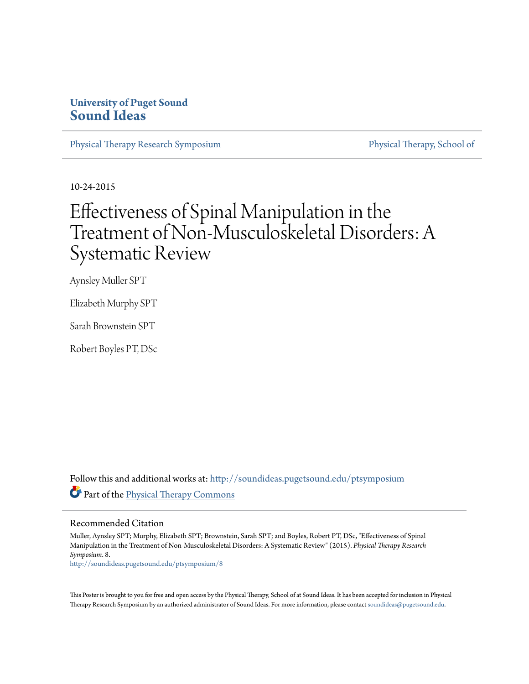### **University of Puget Sound [Sound Ideas](http://soundideas.pugetsound.edu?utm_source=soundideas.pugetsound.edu%2Fptsymposium%2F8&utm_medium=PDF&utm_campaign=PDFCoverPages)**

[Physical Therapy Research Symposium](http://soundideas.pugetsound.edu/ptsymposium?utm_source=soundideas.pugetsound.edu%2Fptsymposium%2F8&utm_medium=PDF&utm_campaign=PDFCoverPages) [Physical Therapy, School of](http://soundideas.pugetsound.edu/pt_student?utm_source=soundideas.pugetsound.edu%2Fptsymposium%2F8&utm_medium=PDF&utm_campaign=PDFCoverPages)

10-24-2015

### Effectiveness of Spinal Manipulation in the Treatment of Non-Musculoskeletal Disorders: A Systematic Review

Aynsley Muller SPT

Elizabeth Murphy SPT

Sarah Brownstein SPT

Robert Boyles PT, DSc

Follow this and additional works at: [http://soundideas.pugetsound.edu/ptsymposium](http://soundideas.pugetsound.edu/ptsymposium?utm_source=soundideas.pugetsound.edu%2Fptsymposium%2F8&utm_medium=PDF&utm_campaign=PDFCoverPages) Part of the [Physical Therapy Commons](http://network.bepress.com/hgg/discipline/754?utm_source=soundideas.pugetsound.edu%2Fptsymposium%2F8&utm_medium=PDF&utm_campaign=PDFCoverPages)

### Recommended Citation

Muller, Aynsley SPT; Murphy, Elizabeth SPT; Brownstein, Sarah SPT; and Boyles, Robert PT, DSc, "Effectiveness of Spinal Manipulation in the Treatment of Non-Musculoskeletal Disorders: A Systematic Review" (2015). *Physical Therapy Research Symposium*. 8.

[http://soundideas.pugetsound.edu/ptsymposium/8](http://soundideas.pugetsound.edu/ptsymposium/8?utm_source=soundideas.pugetsound.edu%2Fptsymposium%2F8&utm_medium=PDF&utm_campaign=PDFCoverPages)

This Poster is brought to you for free and open access by the Physical Therapy, School of at Sound Ideas. It has been accepted for inclusion in Physical Therapy Research Symposium by an authorized administrator of Sound Ideas. For more information, please contact [soundideas@pugetsound.edu](mailto:soundideas@pugetsound.edu).